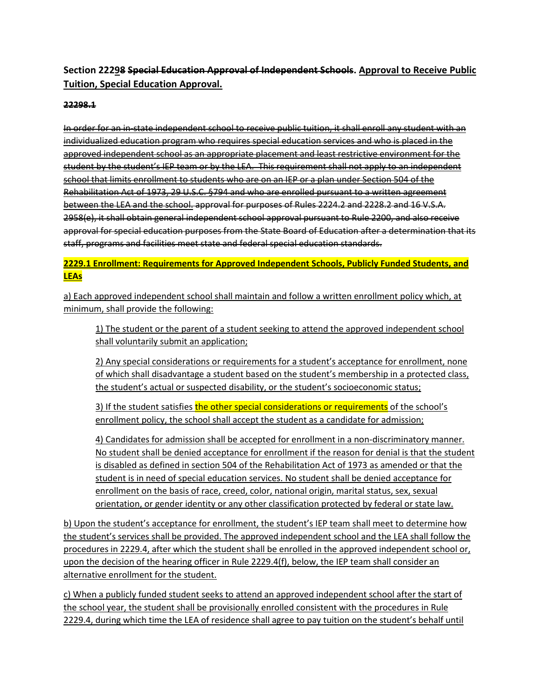## **Section 22298 Special Education Approval of Independent Schools. Approval to Receive Public Tuition, Special Education Approval.**

## **22298.1**

In order for an in-state independent school to receive public tuition, it shall enroll any student with an individualized education program who requires special education services and who is placed in the approved independent school as an appropriate placement and least restrictive environment for the student by the student's IEP team or by the LEA. This requirement shall not apply to an independent school that limits enrollment to students who are on an IEP or a plan under Section 504 of the Rehabilitation Act of 1973, 29 U.S.C. §794 and who are enrolled pursuant to a written agreement between the LEA and the school. approval for purposes of Rules 2224.2 and 2228.2 and 16 V.S.A. 2958(e), it shall obtain general independent school approval pursuant to Rule 2200, and also receive approval for special education purposes from the State Board of Education after a determination that its staff, programs and facilities meet state and federal special education standards.

## **2229.1 Enrollment: Requirements for Approved Independent Schools, Publicly Funded Students, and LEAs**

a) Each approved independent school shall maintain and follow a written enrollment policy which, at minimum, shall provide the following:

1) The student or the parent of a student seeking to attend the approved independent school shall voluntarily submit an application;

2) Any special considerations or requirements for a student's acceptance for enrollment, none of which shall disadvantage a student based on the student's membership in a protected class, the student's actual or suspected disability, or the student's socioeconomic status;

3) If the student satisfies the other special considerations or requirements of the school's enrollment policy, the school shall accept the student as a candidate for admission;

4) Candidates for admission shall be accepted for enrollment in a non-discriminatory manner. No student shall be denied acceptance for enrollment if the reason for denial is that the student is disabled as defined in section 504 of the Rehabilitation Act of 1973 as amended or that the student is in need of special education services. No student shall be denied acceptance for enrollment on the basis of race, creed, color, national origin, marital status, sex, sexual orientation, or gender identity or any other classification protected by federal or state law.

b) Upon the student's acceptance for enrollment, the student's IEP team shall meet to determine how the student's services shall be provided. The approved independent school and the LEA shall follow the procedures in 2229.4, after which the student shall be enrolled in the approved independent school or, upon the decision of the hearing officer in Rule 2229.4(f), below, the IEP team shall consider an alternative enrollment for the student.

c) When a publicly funded student seeks to attend an approved independent school after the start of the school year, the student shall be provisionally enrolled consistent with the procedures in Rule 2229.4, during which time the LEA of residence shall agree to pay tuition on the student's behalf until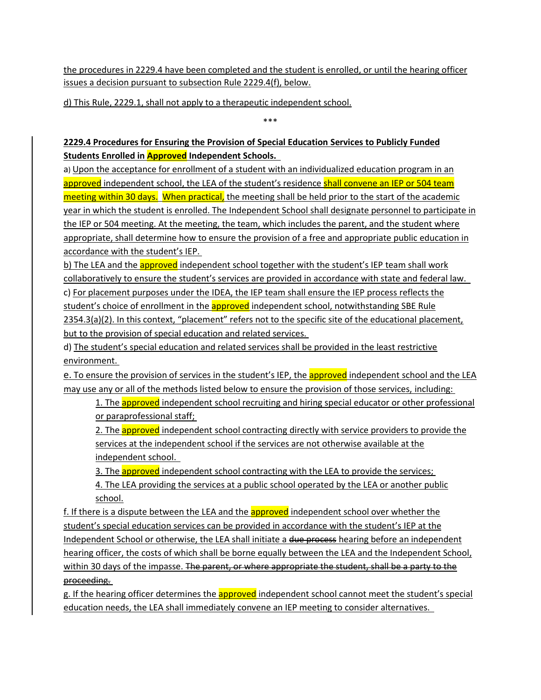the procedures in 2229.4 have been completed and the student is enrolled, or until the hearing officer issues a decision pursuant to subsection Rule 2229.4(f), below.

d) This Rule, 2229.1, shall not apply to a therapeutic independent school.

\*\*\*

## **2229.4 Procedures for Ensuring the Provision of Special Education Services to Publicly Funded Students Enrolled in Approved Independent Schools.**

a) Upon the acceptance for enrollment of a student with an individualized education program in an approved independent school, the LEA of the student's residence shall convene an IEP or 504 team meeting within 30 days. When practical, the meeting shall be held prior to the start of the academic year in which the student is enrolled. The Independent School shall designate personnel to participate in the IEP or 504 meeting. At the meeting, the team, which includes the parent, and the student where appropriate, shall determine how to ensure the provision of a free and appropriate public education in accordance with the student's IEP.

b) The LEA and the **approved** independent school together with the student's IEP team shall work collaboratively to ensure the student's services are provided in accordance with state and federal law. c) For placement purposes under the IDEA, the IEP team shall ensure the IEP process reflects the student's choice of enrollment in the approved independent school, notwithstanding SBE Rule 2354.3(a)(2). In this context, "placement" refers not to the specific site of the educational placement, but to the provision of special education and related services.

d) The student's special education and related services shall be provided in the least restrictive environment.

e. To ensure the provision of services in the student's IEP, the approved independent school and the LEA may use any or all of the methods listed below to ensure the provision of those services, including:

1. The **approved** independent school recruiting and hiring special educator or other professional or paraprofessional staff;

2. The **approved** independent school contracting directly with service providers to provide the services at the independent school if the services are not otherwise available at the independent school.

3. The **approved** independent school contracting with the LEA to provide the services;

4. The LEA providing the services at a public school operated by the LEA or another public school.

f. If there is a dispute between the LEA and the **approved** independent school over whether the student's special education services can be provided in accordance with the student's IEP at the Independent School or otherwise, the LEA shall initiate a due process hearing before an independent hearing officer, the costs of which shall be borne equally between the LEA and the Independent School, within 30 days of the impasse. The parent, or where appropriate the student, shall be a party to the proceeding.

g. If the hearing officer determines the **approved** independent school cannot meet the student's special education needs, the LEA shall immediately convene an IEP meeting to consider alternatives.